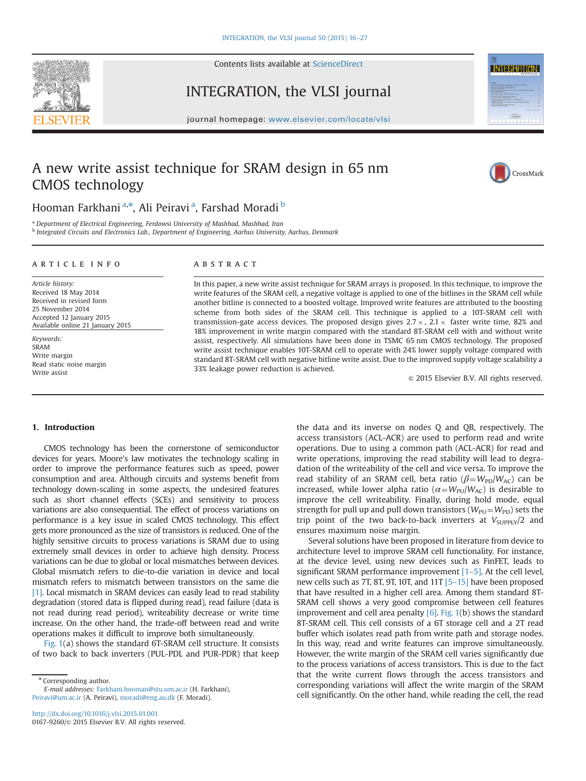

Contents lists available at [ScienceDirect](www.sciencedirect.com/science/journal/01679260)

INTEGRATION, the VLSI journal



# A new write assist technique for SRAM design in 65 nm CMOS technology



CrossMark

**INTEGRATION** 

## Hooman Farkhani<sup>a,</sup>\*, Ali Peiravi<sup>a</sup>, Farshad Moradi <sup>b</sup>

<sup>a</sup> Department of Electrical Engineering, Ferdowsi University of Mashhad, Mashhad, Iran

b Integrated Circuits and Electronics Lab., Department of Engineering, Aarhus University, Aarhus, Denmark

#### article info

Article history: Received 18 May 2014 Received in revised form 25 November 2014 Accepted 12 January 2015 Available online 21 January 2015

Keywords: SRAM Write margin Read static noise margin Write assist

## **ABSTRACT**

In this paper, a new write assist technique for SRAM arrays is proposed. In this technique, to improve the write features of the SRAM cell, a negative voltage is applied to one of the bitlines in the SRAM cell while another bitline is connected to a boosted voltage. Improved write features are attributed to the boosting scheme from both sides of the SRAM cell. This technique is applied to a 10T-SRAM cell with transmission-gate access devices. The proposed design gives  $2.7 \times$ ,  $2.1 \times$  faster write time, 82% and 18% improvement in write margin compared with the standard 8T-SRAM cell with and without write assist, respectively. All simulations have been done in TSMC 65 nm CMOS technology. The proposed write assist technique enables 10T-SRAM cell to operate with 24% lower supply voltage compared with standard 8T-SRAM cell with negative bitline write assist. Due to the improved supply voltage scalability a 33% leakage power reduction is achieved.

 $\odot$  2015 Elsevier B.V. All rights reserved.

### 1. Introduction

CMOS technology has been the cornerstone of semiconductor devices for years. Moore's law motivates the technology scaling in order to improve the performance features such as speed, power consumption and area. Although circuits and systems benefit from technology down-scaling in some aspects, the undesired features such as short channel effects (SCEs) and sensitivity to process variations are also consequential. The effect of process variations on performance is a key issue in scaled CMOS technology. This effect gets more pronounced as the size of transistors is reduced. One of the highly sensitive circuits to process variations is SRAM due to using extremely small devices in order to achieve high density. Process variations can be due to global or local mismatches between devices. Global mismatch refers to die-to-die variation in device and local mismatch refers to mismatch between transistors on the same die [1]. Local mismatch in SRAM devices can easily lead to read stability degradation (stored data is flipped during read), read failure (data is not read during read period), writeability decrease or write time increase. On the other hand, the trade-off between read and write operations makes it difficult to improve both simultaneously.

Fig. 1(a) shows the standard 6T-SRAM cell structure. It consists of two back to back inverters (PUL-PDL and PUR-PDR) that keep

\* Corresponding author. E-mail addresses: [Farkhani.hooman@stu.um.ac.ir](mailto:Farkhani.hooman@stu.um.ac.ir) (H. Farkhani), [Peiravi@um.ac.ir](mailto:Peiravi@um.ac.ir) (A. Peiravi), [moradi@eng.au.dk](mailto:moradi@eng.au.dk) (F. Moradi).

the data and its inverse on nodes Q and QB, respectively. The access transistors (ACL-ACR) are used to perform read and write operations. Due to using a common path (ACL-ACR) for read and write operations, improving the read stability will lead to degradation of the writeability of the cell and vice versa. To improve the read stability of an SRAM cell, beta ratio ( $\beta = W_{\text{PD}}/W_{\text{AC}}$ ) can be increased, while lower alpha ratio ( $\alpha = W_{\text{PU}}/W_{\text{AC}}$ ) is desirable to improve the cell writeability. Finally, during hold mode, equal strength for pull up and pull down transistors ( $W_{\text{PU}} = W_{\text{PD}}$ ) sets the trip point of the two back-to-back inverters at  $V_{\text{SUPPIY}}/2$  and ensures maximum noise margin.

Several solutions have been proposed in literature from device to architecture level to improve SRAM cell functionality. For instance, at the device level, using new devices such as FinFET, leads to significant SRAM performance improvement  $[1-5]$ . At the cell level, new cells such as 7T, 8T, 9T, 10T, and 11T [5–15] have been proposed that have resulted in a higher cell area. Among them standard 8T-SRAM cell shows a very good compromise between cell features improvement and cell area penalty [6]. Fig. 1(b) shows the standard 8T-SRAM cell. This cell consists of a 6T storage cell and a 2T read buffer which isolates read path from write path and storage nodes. In this way, read and write features can improve simultaneously. However, the write margin of the SRAM cell varies significantly due to the process variations of access transistors. This is due to the fact that the write current flows through the access transistors and corresponding variations will affect the write margin of the SRAM cell significantly. On the other hand, while reading the cell, the read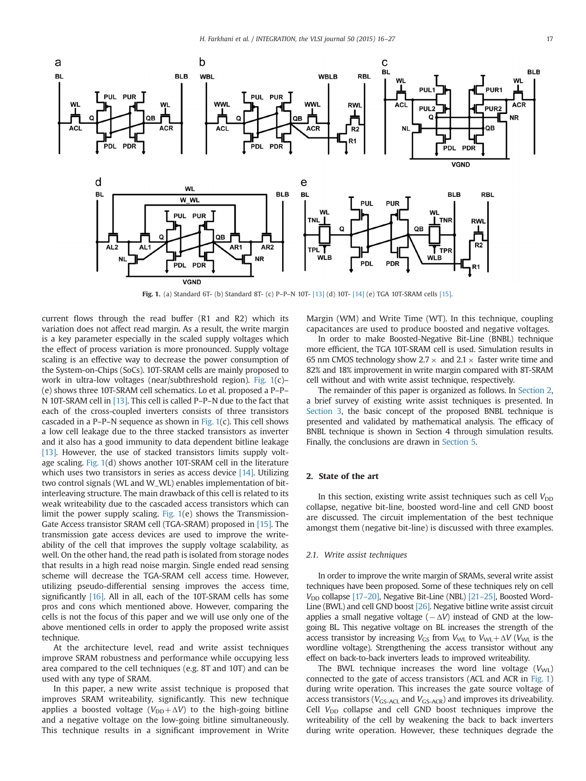

Fig. 1. (a) Standard 6T- (b) Standard 8T- (c) P–P–N 10T- [13] (d) 10T- [14] (e) TGA 10T-SRAM cells [15].

current flows through the read buffer (R1 and R2) which its variation does not affect read margin. As a result, the write margin is a key parameter especially in the scaled supply voltages which the effect of process variation is more pronounced. Supply voltage scaling is an effective way to decrease the power consumption of the System-on-Chips (SoCs). 10T-SRAM cells are mainly proposed to work in ultra-low voltages (near/subthreshold region). Fig. 1(c)– (e) shows three 10T-SRAM cell schematics. Lo et al. proposed a P–P– N 10T-SRAM cell in [13]. This cell is called P–P–N due to the fact that each of the cross-coupled inverters consists of three transistors cascaded in a P–P–N sequence as shown in Fig. 1(c). This cell shows a low cell leakage due to the three stacked transistors as inverter and it also has a good immunity to data dependent bitline leakage [13]. However, the use of stacked transistors limits supply voltage scaling. Fig. 1(d) shows another 10T-SRAM cell in the literature which uses two transistors in series as access device [14]. Utilizing two control signals (WL and W\_WL) enables implementation of bitinterleaving structure. The main drawback of this cell is related to its weak writeability due to the cascaded access transistors which can limit the power supply scaling. Fig. 1(e) shows the Transmission-Gate Access transistor SRAM cell (TGA-SRAM) proposed in [15]. The transmission gate access devices are used to improve the writeability of the cell that improves the supply voltage scalability, as well. On the other hand, the read path is isolated from storage nodes that results in a high read noise margin. Single ended read sensing scheme will decrease the TGA-SRAM cell access time. However, utilizing pseudo-differential sensing improves the access time, significantly [16]. All in all, each of the 10T-SRAM cells has some pros and cons which mentioned above. However, comparing the cells is not the focus of this paper and we will use only one of the above mentioned cells in order to apply the proposed write assist technique.

At the architecture level, read and write assist techniques improve SRAM robustness and performance while occupying less area compared to the cell techniques (e.g. 8T and 10T) and can be used with any type of SRAM.

In this paper, a new write assist technique is proposed that improves SRAM writeability, significantly. This new technique applies a boosted voltage ( $V_{\text{DD}} + \Delta V$ ) to the high-going bitline and a negative voltage on the low-going bitline simultaneously. This technique results in a significant improvement in Write Margin (WM) and Write Time (WT). In this technique, coupling capacitances are used to produce boosted and negative voltages.

In order to make Boosted-Negative Bit-Line (BNBL) technique more efficient, the TGA 10T-SRAM cell is used. Simulation results in 65 nm CMOS technology show 2.7  $\times$  and 2.1  $\times$  faster write time and 82% and 18% improvement in write margin compared with 8T-SRAM cell without and with write assist technique, respectively.

The remainder of this paper is organized as follows. In Section 2, a brief survey of existing write assist techniques is presented. In Section 3, the basic concept of the proposed BNBL technique is presented and validated by mathematical analysis. The efficacy of BNBL technique is shown in Section 4 through simulation results. Finally, the conclusions are drawn in Section 5.

### 2. State of the art

In this section, existing write assist techniques such as cell  $V_{DD}$ collapse, negative bit-line, boosted word-line and cell GND boost are discussed. The circuit implementation of the best technique amongst them (negative bit-line) is discussed with three examples.

#### 2.1. Write assist techniques

In order to improve the write margin of SRAMs, several write assist techniques have been proposed. Some of these techniques rely on cell  $V_{\text{DD}}$  collapse [17–20], Negative Bit-Line (NBL) [21–25], Boosted Word-Line (BWL) and cell GND boost [26]. Negative bitline write assist circuit applies a small negative voltage  $(-\Delta V)$  instead of GND at the lowgoing BL. This negative voltage on BL increases the strength of the access transistor by increasing  $V_{\text{GS}}$  from  $V_{\text{WL}}$  to  $V_{\text{WL}} + \Delta V$  ( $V_{\text{WL}}$  is the wordline voltage). Strengthening the access transistor without any effect on back-to-back inverters leads to improved writeability.

The BWL technique increases the word line voltage  $(V_{\text{WI}})$ connected to the gate of access transistors (ACL and ACR in Fig. 1) during write operation. This increases the gate source voltage of access transistors ( $V_{GS-ACL}$  and  $V_{GS-ACE}$ ) and improves its driveability. Cell  $V_{\text{DD}}$  collapse and cell GND boost techniques improve the writeability of the cell by weakening the back to back inverters during write operation. However, these techniques degrade the